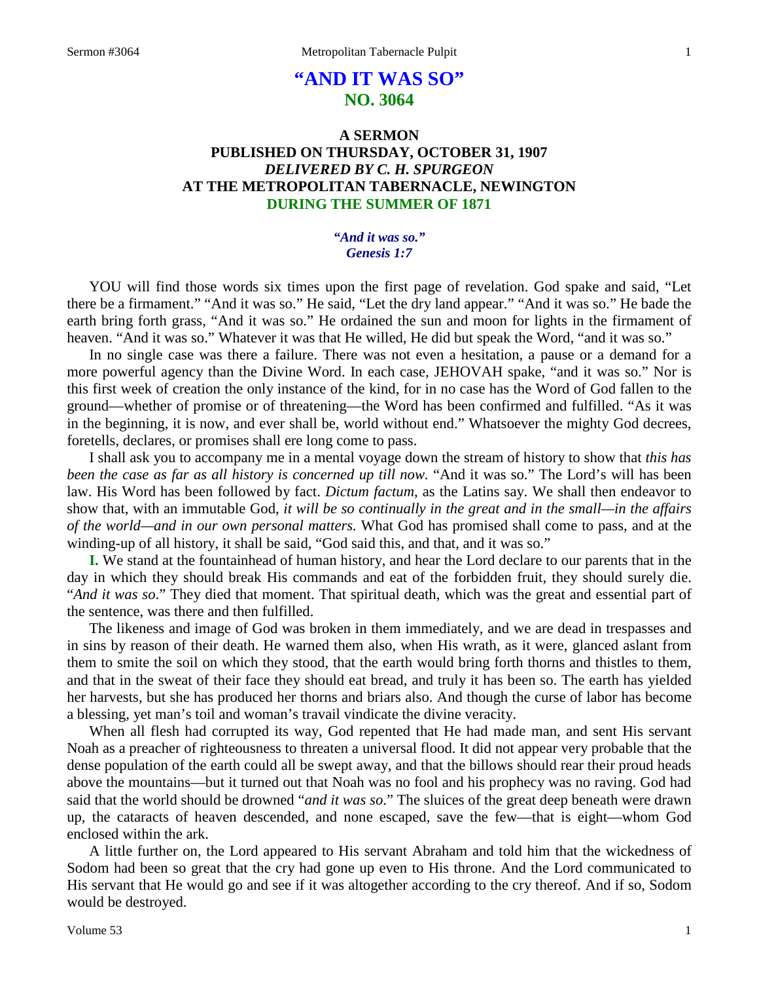# **"AND IT WAS SO" NO. 3064**

# **A SERMON PUBLISHED ON THURSDAY, OCTOBER 31, 1907** *DELIVERED BY C. H. SPURGEON* **AT THE METROPOLITAN TABERNACLE, NEWINGTON DURING THE SUMMER OF 1871**

*"And it was so." Genesis 1:7*

YOU will find those words six times upon the first page of revelation. God spake and said, "Let there be a firmament." "And it was so." He said, "Let the dry land appear." "And it was so." He bade the earth bring forth grass, "And it was so." He ordained the sun and moon for lights in the firmament of heaven. "And it was so." Whatever it was that He willed, He did but speak the Word, "and it was so."

In no single case was there a failure. There was not even a hesitation, a pause or a demand for a more powerful agency than the Divine Word. In each case, JEHOVAH spake, "and it was so." Nor is this first week of creation the only instance of the kind, for in no case has the Word of God fallen to the ground—whether of promise or of threatening—the Word has been confirmed and fulfilled. "As it was in the beginning, it is now, and ever shall be, world without end." Whatsoever the mighty God decrees, foretells, declares, or promises shall ere long come to pass.

I shall ask you to accompany me in a mental voyage down the stream of history to show that *this has been the case as far as all history is concerned up till now.* "And it was so." The Lord's will has been law. His Word has been followed by fact. *Dictum factum,* as the Latins say. We shall then endeavor to show that, with an immutable God, *it will be so continually in the great and in the small—in the affairs of the world—and in our own personal matters.* What God has promised shall come to pass, and at the winding-up of all history, it shall be said, "God said this, and that, and it was so."

**I.** We stand at the fountainhead of human history, and hear the Lord declare to our parents that in the day in which they should break His commands and eat of the forbidden fruit, they should surely die. "*And it was so*." They died that moment. That spiritual death, which was the great and essential part of the sentence, was there and then fulfilled.

The likeness and image of God was broken in them immediately, and we are dead in trespasses and in sins by reason of their death. He warned them also, when His wrath, as it were, glanced aslant from them to smite the soil on which they stood, that the earth would bring forth thorns and thistles to them, and that in the sweat of their face they should eat bread, and truly it has been so. The earth has yielded her harvests, but she has produced her thorns and briars also. And though the curse of labor has become a blessing, yet man's toil and woman's travail vindicate the divine veracity.

When all flesh had corrupted its way, God repented that He had made man, and sent His servant Noah as a preacher of righteousness to threaten a universal flood. It did not appear very probable that the dense population of the earth could all be swept away, and that the billows should rear their proud heads above the mountains—but it turned out that Noah was no fool and his prophecy was no raving. God had said that the world should be drowned "*and it was so*." The sluices of the great deep beneath were drawn up, the cataracts of heaven descended, and none escaped, save the few—that is eight—whom God enclosed within the ark.

A little further on, the Lord appeared to His servant Abraham and told him that the wickedness of Sodom had been so great that the cry had gone up even to His throne. And the Lord communicated to His servant that He would go and see if it was altogether according to the cry thereof. And if so, Sodom would be destroyed.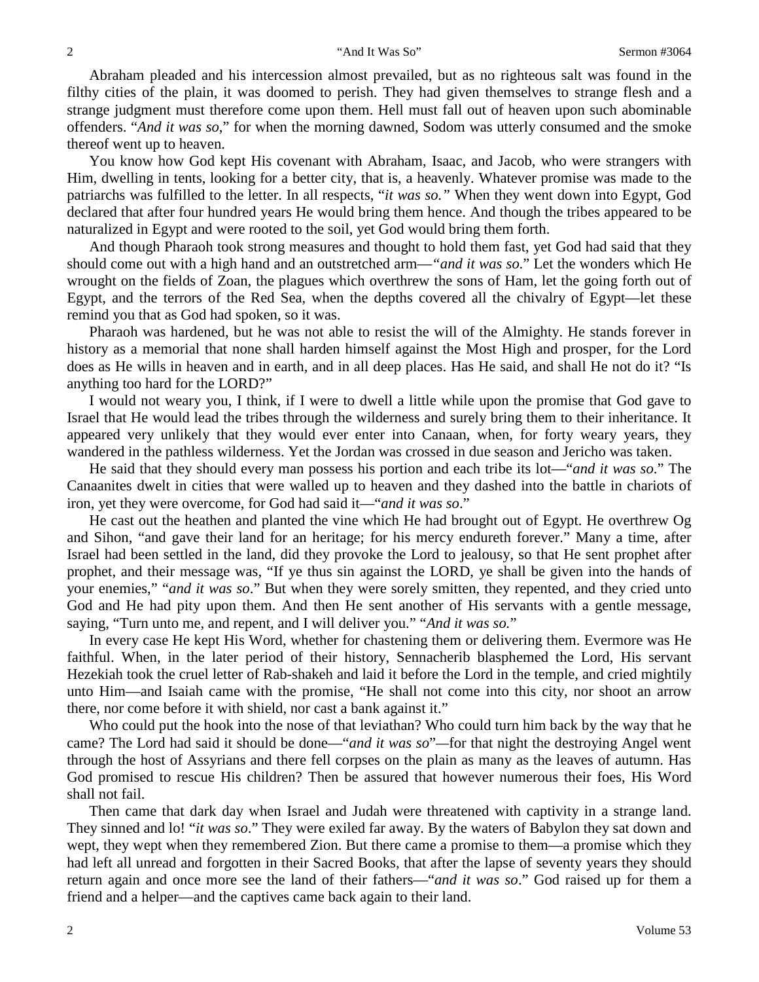Abraham pleaded and his intercession almost prevailed, but as no righteous salt was found in the filthy cities of the plain, it was doomed to perish. They had given themselves to strange flesh and a strange judgment must therefore come upon them. Hell must fall out of heaven upon such abominable offenders. "*And it was so*," for when the morning dawned, Sodom was utterly consumed and the smoke thereof went up to heaven.

You know how God kept His covenant with Abraham, Isaac, and Jacob, who were strangers with Him, dwelling in tents, looking for a better city, that is, a heavenly. Whatever promise was made to the patriarchs was fulfilled to the letter. In all respects, "*it was so."* When they went down into Egypt, God declared that after four hundred years He would bring them hence. And though the tribes appeared to be naturalized in Egypt and were rooted to the soil, yet God would bring them forth.

And though Pharaoh took strong measures and thought to hold them fast, yet God had said that they should come out with a high hand and an outstretched arm—*"and it was so*." Let the wonders which He wrought on the fields of Zoan, the plagues which overthrew the sons of Ham, let the going forth out of Egypt, and the terrors of the Red Sea, when the depths covered all the chivalry of Egypt—let these remind you that as God had spoken, so it was.

Pharaoh was hardened, but he was not able to resist the will of the Almighty. He stands forever in history as a memorial that none shall harden himself against the Most High and prosper, for the Lord does as He wills in heaven and in earth, and in all deep places. Has He said, and shall He not do it? "Is anything too hard for the LORD?"

I would not weary you, I think, if I were to dwell a little while upon the promise that God gave to Israel that He would lead the tribes through the wilderness and surely bring them to their inheritance. It appeared very unlikely that they would ever enter into Canaan, when, for forty weary years, they wandered in the pathless wilderness. Yet the Jordan was crossed in due season and Jericho was taken.

He said that they should every man possess his portion and each tribe its lot—"*and it was so*." The Canaanites dwelt in cities that were walled up to heaven and they dashed into the battle in chariots of iron, yet they were overcome, for God had said it—"*and it was so*."

He cast out the heathen and planted the vine which He had brought out of Egypt. He overthrew Og and Sihon, "and gave their land for an heritage; for his mercy endureth forever." Many a time, after Israel had been settled in the land, did they provoke the Lord to jealousy, so that He sent prophet after prophet, and their message was, "If ye thus sin against the LORD, ye shall be given into the hands of your enemies," "*and it was so*." But when they were sorely smitten, they repented, and they cried unto God and He had pity upon them. And then He sent another of His servants with a gentle message, saying, "Turn unto me, and repent, and I will deliver you." "*And it was so.*"

In every case He kept His Word, whether for chastening them or delivering them. Evermore was He faithful. When, in the later period of their history, Sennacherib blasphemed the Lord, His servant Hezekiah took the cruel letter of Rab-shakeh and laid it before the Lord in the temple, and cried mightily unto Him—and Isaiah came with the promise, "He shall not come into this city, nor shoot an arrow there, nor come before it with shield, nor cast a bank against it."

Who could put the hook into the nose of that leviathan? Who could turn him back by the way that he came? The Lord had said it should be done—"*and it was so*"*—*for that night the destroying Angel went through the host of Assyrians and there fell corpses on the plain as many as the leaves of autumn. Has God promised to rescue His children? Then be assured that however numerous their foes, His Word shall not fail.

Then came that dark day when Israel and Judah were threatened with captivity in a strange land. They sinned and lo! "*it was so*." They were exiled far away. By the waters of Babylon they sat down and wept, they wept when they remembered Zion. But there came a promise to them—a promise which they had left all unread and forgotten in their Sacred Books, that after the lapse of seventy years they should return again and once more see the land of their fathers—"*and it was so*." God raised up for them a friend and a helper—and the captives came back again to their land.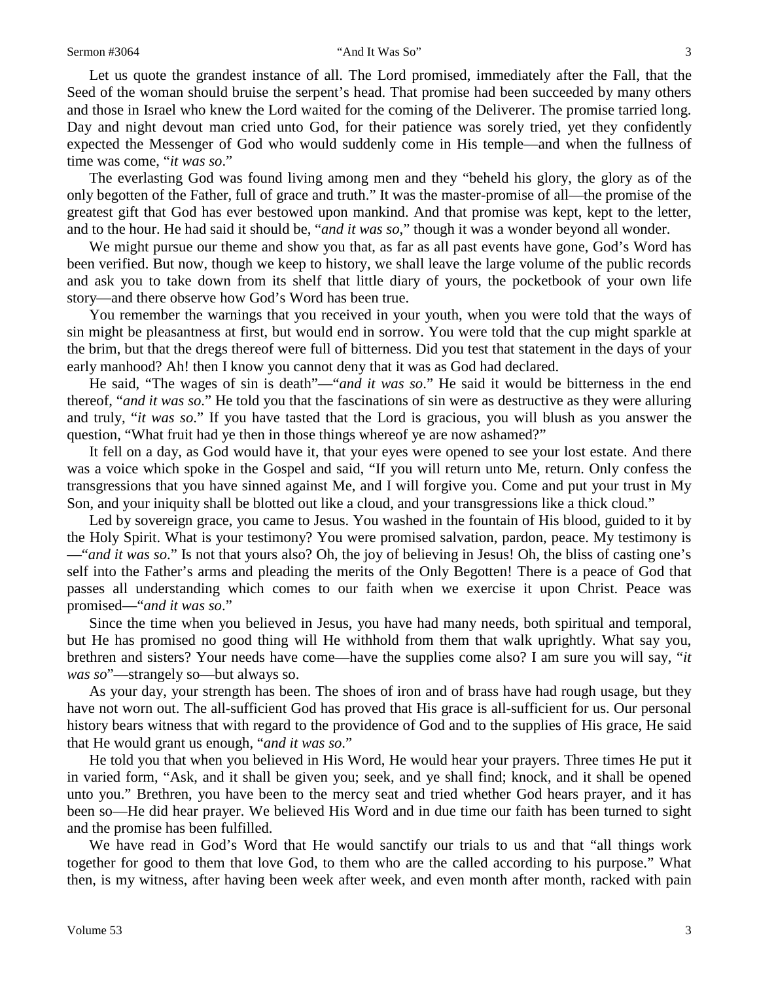Let us quote the grandest instance of all. The Lord promised, immediately after the Fall, that the Seed of the woman should bruise the serpent's head. That promise had been succeeded by many others and those in Israel who knew the Lord waited for the coming of the Deliverer. The promise tarried long. Day and night devout man cried unto God, for their patience was sorely tried, yet they confidently expected the Messenger of God who would suddenly come in His temple—and when the fullness of time was come, "*it was so*."

The everlasting God was found living among men and they "beheld his glory, the glory as of the only begotten of the Father*,* full of grace and truth." It was the master-promise of all—the promise of the greatest gift that God has ever bestowed upon mankind. And that promise was kept, kept to the letter, and to the hour. He had said it should be, "*and it was so*," though it was a wonder beyond all wonder.

We might pursue our theme and show you that, as far as all past events have gone, God's Word has been verified. But now, though we keep to history, we shall leave the large volume of the public records and ask you to take down from its shelf that little diary of yours, the pocketbook of your own life story—and there observe how God's Word has been true.

You remember the warnings that you received in your youth, when you were told that the ways of sin might be pleasantness at first, but would end in sorrow. You were told that the cup might sparkle at the brim, but that the dregs thereof were full of bitterness. Did you test that statement in the days of your early manhood? Ah! then I know you cannot deny that it was as God had declared.

He said, "The wages of sin is death"—"*and it was so*." He said it would be bitterness in the end thereof, "*and it was so*." He told you that the fascinations of sin were as destructive as they were alluring and truly, "*it was so*." If you have tasted that the Lord is gracious, you will blush as you answer the question, "What fruit had ye then in those things whereof ye are now ashamed?"

It fell on a day, as God would have it, that your eyes were opened to see your lost estate. And there was a voice which spoke in the Gospel and said, "If you will return unto Me, return. Only confess the transgressions that you have sinned against Me, and I will forgive you. Come and put your trust in My Son, and your iniquity shall be blotted out like a cloud, and your transgressions like a thick cloud."

Led by sovereign grace, you came to Jesus. You washed in the fountain of His blood, guided to it by the Holy Spirit. What is your testimony? You were promised salvation, pardon, peace. My testimony is —"*and it was so*." Is not that yours also? Oh, the joy of believing in Jesus! Oh, the bliss of casting one's self into the Father's arms and pleading the merits of the Only Begotten! There is a peace of God that passes all understanding which comes to our faith when we exercise it upon Christ. Peace was promised—"*and it was so*."

Since the time when you believed in Jesus, you have had many needs, both spiritual and temporal, but He has promised no good thing will He withhold from them that walk uprightly. What say you, brethren and sisters? Your needs have come—have the supplies come also? I am sure you will say, "*it was so*"—strangely so—but always so.

As your day, your strength has been. The shoes of iron and of brass have had rough usage, but they have not worn out. The all-sufficient God has proved that His grace is all-sufficient for us. Our personal history bears witness that with regard to the providence of God and to the supplies of His grace, He said that He would grant us enough, "*and it was so*."

He told you that when you believed in His Word, He would hear your prayers. Three times He put it in varied form, "Ask, and it shall be given you; seek, and ye shall find; knock, and it shall be opened unto you." Brethren, you have been to the mercy seat and tried whether God hears prayer, and it has been so—He did hear prayer. We believed His Word and in due time our faith has been turned to sight and the promise has been fulfilled.

We have read in God's Word that He would sanctify our trials to us and that "all things work together for good to them that love God, to them who are the called according to his purpose." What then, is my witness, after having been week after week, and even month after month, racked with pain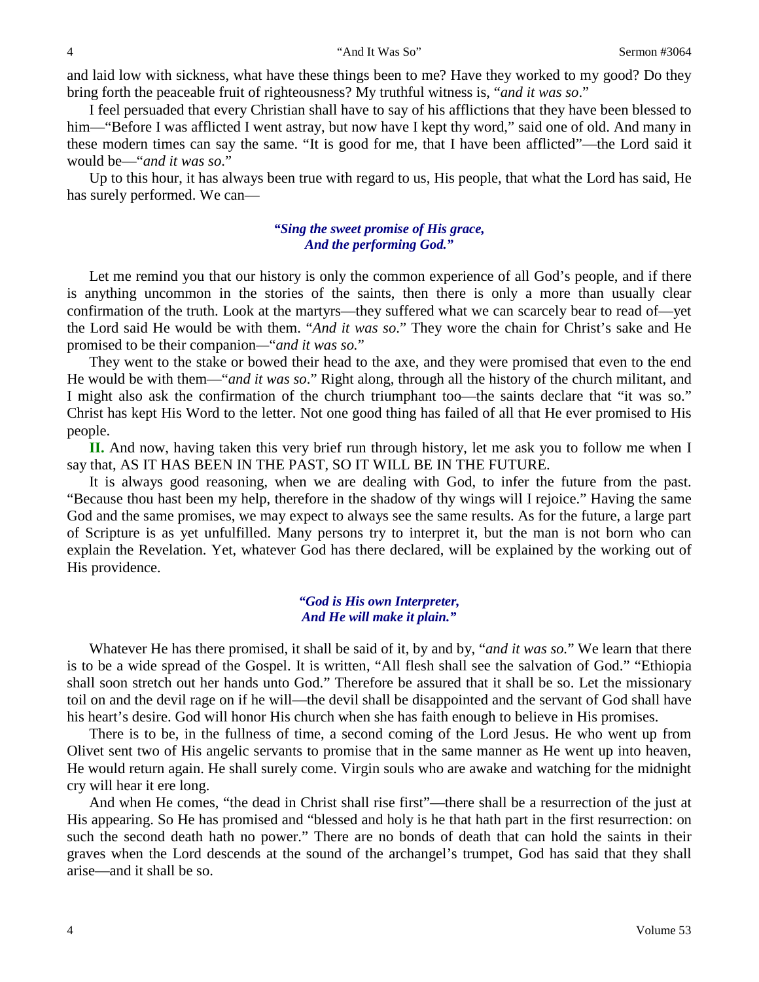and laid low with sickness, what have these things been to me? Have they worked to my good? Do they bring forth the peaceable fruit of righteousness? My truthful witness is, "*and it was so*."

I feel persuaded that every Christian shall have to say of his afflictions that they have been blessed to him—"Before I was afflicted I went astray, but now have I kept thy word," said one of old. And many in these modern times can say the same. "It is good for me, that I have been afflicted"—the Lord said it would be—"*and it was so*."

Up to this hour, it has always been true with regard to us, His people, that what the Lord has said, He has surely performed. We can—

## *"Sing the sweet promise of His grace, And the performing God."*

Let me remind you that our history is only the common experience of all God's people, and if there is anything uncommon in the stories of the saints, then there is only a more than usually clear confirmation of the truth. Look at the martyrs—they suffered what we can scarcely bear to read of—yet the Lord said He would be with them. "*And it was so*." They wore the chain for Christ's sake and He promised to be their companion*—*"*and it was so.*"

They went to the stake or bowed their head to the axe, and they were promised that even to the end He would be with them—"*and it was so*." Right along, through all the history of the church militant, and I might also ask the confirmation of the church triumphant too—the saints declare that "it was so." Christ has kept His Word to the letter. Not one good thing has failed of all that He ever promised to His people.

**II.** And now, having taken this very brief run through history, let me ask you to follow me when I say that, AS IT HAS BEEN IN THE PAST, SO IT WILL BE IN THE FUTURE.

It is always good reasoning, when we are dealing with God, to infer the future from the past. "Because thou hast been my help, therefore in the shadow of thy wings will I rejoice." Having the same God and the same promises, we may expect to always see the same results. As for the future, a large part of Scripture is as yet unfulfilled. Many persons try to interpret it, but the man is not born who can explain the Revelation. Yet, whatever God has there declared, will be explained by the working out of His providence.

#### *"God is His own Interpreter, And He will make it plain."*

Whatever He has there promised, it shall be said of it, by and by, "*and it was so.*" We learn that there is to be a wide spread of the Gospel. It is written, "All flesh shall see the salvation of God." "Ethiopia shall soon stretch out her hands unto God." Therefore be assured that it shall be so. Let the missionary toil on and the devil rage on if he will—the devil shall be disappointed and the servant of God shall have his heart's desire. God will honor His church when she has faith enough to believe in His promises.

There is to be, in the fullness of time, a second coming of the Lord Jesus. He who went up from Olivet sent two of His angelic servants to promise that in the same manner as He went up into heaven, He would return again. He shall surely come. Virgin souls who are awake and watching for the midnight cry will hear it ere long.

And when He comes, "the dead in Christ shall rise first"—there shall be a resurrection of the just at His appearing. So He has promised and "blessed and holy is he that hath part in the first resurrection: on such the second death hath no power." There are no bonds of death that can hold the saints in their graves when the Lord descends at the sound of the archangel's trumpet, God has said that they shall arise—and it shall be so.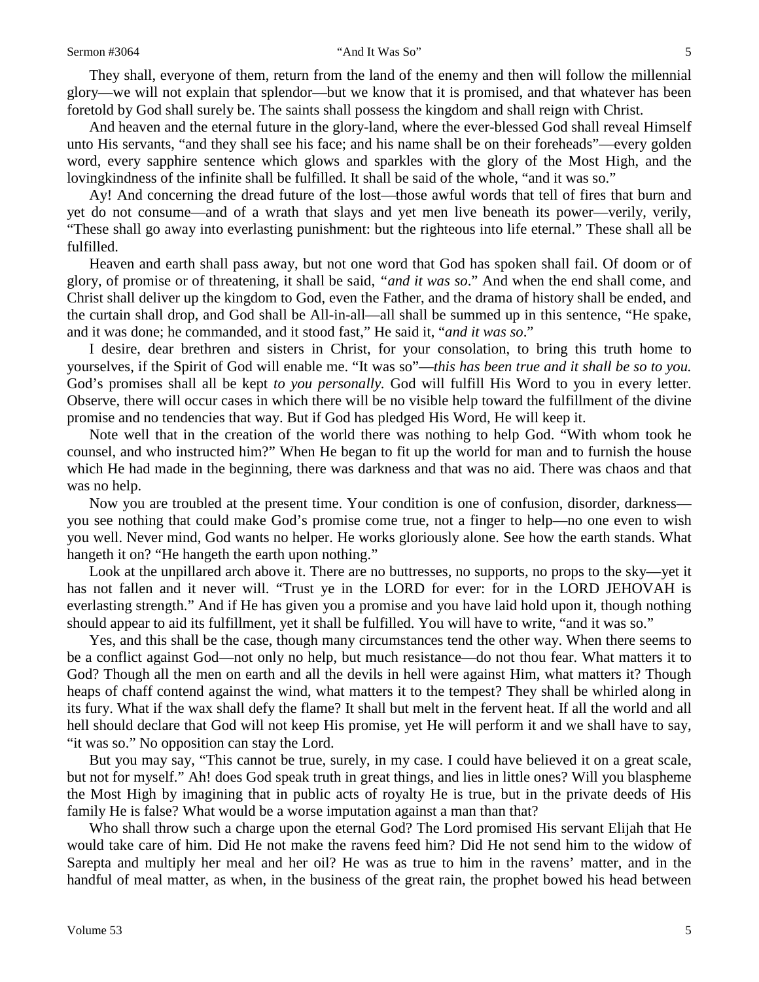They shall, everyone of them, return from the land of the enemy and then will follow the millennial glory—we will not explain that splendor—but we know that it is promised, and that whatever has been foretold by God shall surely be. The saints shall possess the kingdom and shall reign with Christ.

And heaven and the eternal future in the glory-land, where the ever-blessed God shall reveal Himself unto His servants, "and they shall see his face; and his name shall be on their foreheads"—every golden word, every sapphire sentence which glows and sparkles with the glory of the Most High, and the lovingkindness of the infinite shall be fulfilled. It shall be said of the whole, "and it was so."

Ay! And concerning the dread future of the lost—those awful words that tell of fires that burn and yet do not consume—and of a wrath that slays and yet men live beneath its power—verily, verily, "These shall go away into everlasting punishment: but the righteous into life eternal." These shall all be fulfilled.

Heaven and earth shall pass away, but not one word that God has spoken shall fail. Of doom or of glory, of promise or of threatening, it shall be said, *"and it was so*." And when the end shall come, and Christ shall deliver up the kingdom to God, even the Father, and the drama of history shall be ended, and the curtain shall drop, and God shall be All-in-all—all shall be summed up in this sentence, "He spake, and it was done; he commanded, and it stood fast," He said it, "*and it was so*."

I desire, dear brethren and sisters in Christ, for your consolation, to bring this truth home to yourselves, if the Spirit of God will enable me. "It was so"—*this has been true and it shall be so to you.*  God's promises shall all be kept *to you personally.* God will fulfill His Word to you in every letter. Observe, there will occur cases in which there will be no visible help toward the fulfillment of the divine promise and no tendencies that way. But if God has pledged His Word, He will keep it.

Note well that in the creation of the world there was nothing to help God. "With whom took he counsel, and who instructed him?" When He began to fit up the world for man and to furnish the house which He had made in the beginning, there was darkness and that was no aid. There was chaos and that was no help.

Now you are troubled at the present time. Your condition is one of confusion, disorder, darkness you see nothing that could make God's promise come true, not a finger to help—no one even to wish you well. Never mind, God wants no helper. He works gloriously alone. See how the earth stands. What hangeth it on? "He hangeth the earth upon nothing."

Look at the unpillared arch above it. There are no buttresses, no supports, no props to the sky—yet it has not fallen and it never will. "Trust ye in the LORD for ever: for in the LORD JEHOVAH is everlasting strength." And if He has given you a promise and you have laid hold upon it, though nothing should appear to aid its fulfillment, yet it shall be fulfilled. You will have to write, "and it was so."

Yes, and this shall be the case, though many circumstances tend the other way. When there seems to be a conflict against God—not only no help, but much resistance—do not thou fear. What matters it to God? Though all the men on earth and all the devils in hell were against Him, what matters it? Though heaps of chaff contend against the wind, what matters it to the tempest? They shall be whirled along in its fury. What if the wax shall defy the flame? It shall but melt in the fervent heat. If all the world and all hell should declare that God will not keep His promise, yet He will perform it and we shall have to say, "it was so." No opposition can stay the Lord.

But you may say, "This cannot be true, surely, in my case. I could have believed it on a great scale, but not for myself." Ah! does God speak truth in great things, and lies in little ones? Will you blaspheme the Most High by imagining that in public acts of royalty He is true, but in the private deeds of His family He is false? What would be a worse imputation against a man than that?

Who shall throw such a charge upon the eternal God? The Lord promised His servant Elijah that He would take care of him. Did He not make the ravens feed him? Did He not send him to the widow of Sarepta and multiply her meal and her oil? He was as true to him in the ravens' matter, and in the handful of meal matter, as when, in the business of the great rain, the prophet bowed his head between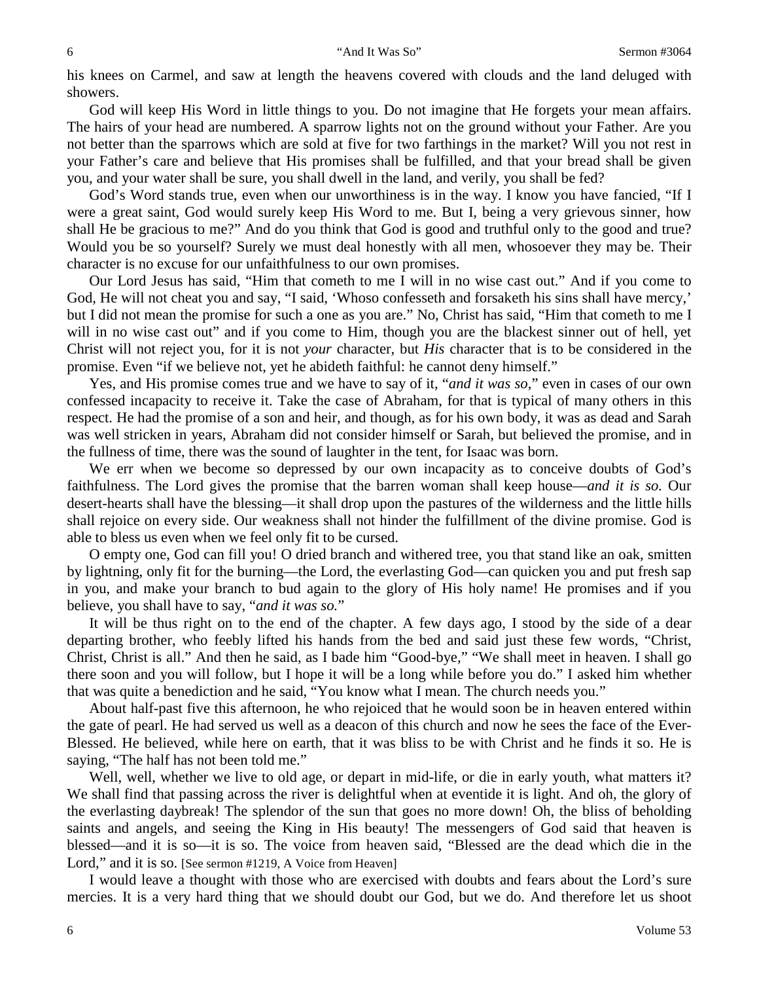his knees on Carmel, and saw at length the heavens covered with clouds and the land deluged with showers.

God will keep His Word in little things to you. Do not imagine that He forgets your mean affairs. The hairs of your head are numbered. A sparrow lights not on the ground without your Father. Are you not better than the sparrows which are sold at five for two farthings in the market? Will you not rest in your Father's care and believe that His promises shall be fulfilled, and that your bread shall be given you, and your water shall be sure, you shall dwell in the land, and verily, you shall be fed?

God's Word stands true, even when our unworthiness is in the way. I know you have fancied, "If I were a great saint, God would surely keep His Word to me. But I, being a very grievous sinner, how shall He be gracious to me?" And do you think that God is good and truthful only to the good and true? Would you be so yourself? Surely we must deal honestly with all men, whosoever they may be. Their character is no excuse for our unfaithfulness to our own promises.

Our Lord Jesus has said, "Him that cometh to me I will in no wise cast out." And if you come to God, He will not cheat you and say, "I said, 'Whoso confesseth and forsaketh his sins shall have mercy,' but I did not mean the promise for such a one as you are." No, Christ has said, "Him that cometh to me I will in no wise cast out" and if you come to Him, though you are the blackest sinner out of hell, yet Christ will not reject you, for it is not *your* character, but *His* character that is to be considered in the promise. Even "if we believe not, yet he abideth faithful: he cannot deny himself."

Yes, and His promise comes true and we have to say of it, "*and it was so*," even in cases of our own confessed incapacity to receive it. Take the case of Abraham, for that is typical of many others in this respect. He had the promise of a son and heir, and though, as for his own body, it was as dead and Sarah was well stricken in years, Abraham did not consider himself or Sarah, but believed the promise, and in the fullness of time, there was the sound of laughter in the tent, for Isaac was born.

We err when we become so depressed by our own incapacity as to conceive doubts of God's faithfulness. The Lord gives the promise that the barren woman shall keep house—*and it is so.* Our desert-hearts shall have the blessing—it shall drop upon the pastures of the wilderness and the little hills shall rejoice on every side. Our weakness shall not hinder the fulfillment of the divine promise. God is able to bless us even when we feel only fit to be cursed.

O empty one, God can fill you! O dried branch and withered tree, you that stand like an oak, smitten by lightning, only fit for the burning—the Lord, the everlasting God—can quicken you and put fresh sap in you, and make your branch to bud again to the glory of His holy name! He promises and if you believe, you shall have to say, "*and it was so.*"

It will be thus right on to the end of the chapter. A few days ago, I stood by the side of a dear departing brother, who feebly lifted his hands from the bed and said just these few words, "Christ, Christ, Christ is all." And then he said, as I bade him "Good-bye," "We shall meet in heaven. I shall go there soon and you will follow, but I hope it will be a long while before you do." I asked him whether that was quite a benediction and he said, "You know what I mean. The church needs you."

About half-past five this afternoon, he who rejoiced that he would soon be in heaven entered within the gate of pearl. He had served us well as a deacon of this church and now he sees the face of the Ever-Blessed. He believed, while here on earth, that it was bliss to be with Christ and he finds it so. He is saying, "The half has not been told me."

Well, well, whether we live to old age, or depart in mid-life, or die in early youth, what matters it? We shall find that passing across the river is delightful when at eventide it is light. And oh, the glory of the everlasting daybreak! The splendor of the sun that goes no more down! Oh, the bliss of beholding saints and angels, and seeing the King in His beauty! The messengers of God said that heaven is blessed—and it is so—it is so. The voice from heaven said, "Blessed are the dead which die in the Lord," and it is so. [See sermon #1219, A Voice from Heaven]

I would leave a thought with those who are exercised with doubts and fears about the Lord's sure mercies. It is a very hard thing that we should doubt our God, but we do. And therefore let us shoot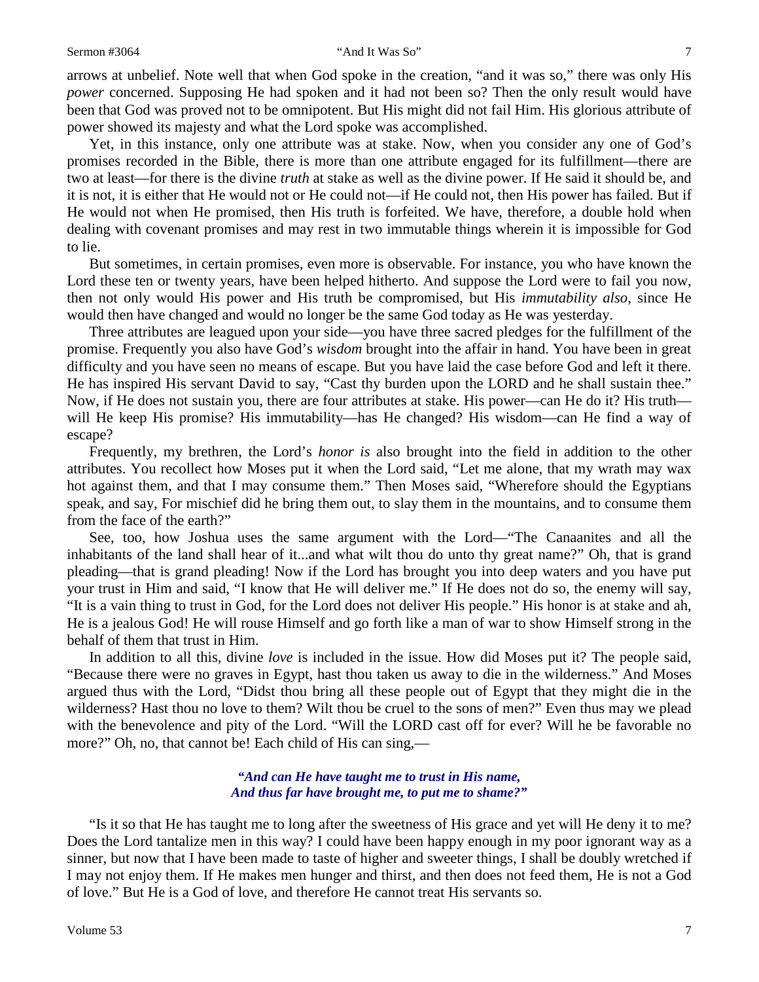arrows at unbelief. Note well that when God spoke in the creation, "and it was so," there was only His *power* concerned. Supposing He had spoken and it had not been so? Then the only result would have been that God was proved not to be omnipotent. But His might did not fail Him. His glorious attribute of power showed its majesty and what the Lord spoke was accomplished.

Yet, in this instance, only one attribute was at stake. Now, when you consider any one of God's promises recorded in the Bible, there is more than one attribute engaged for its fulfillment—there are two at least—for there is the divine *truth* at stake as well as the divine power. If He said it should be, and it is not, it is either that He would not or He could not—if He could not, then His power has failed. But if He would not when He promised, then His truth is forfeited. We have, therefore, a double hold when dealing with covenant promises and may rest in two immutable things wherein it is impossible for God to lie.

But sometimes, in certain promises, even more is observable. For instance, you who have known the Lord these ten or twenty years, have been helped hitherto. And suppose the Lord were to fail you now, then not only would His power and His truth be compromised, but His *immutability also*, since He would then have changed and would no longer be the same God today as He was yesterday.

Three attributes are leagued upon your side—you have three sacred pledges for the fulfillment of the promise. Frequently you also have God's *wisdom* brought into the affair in hand. You have been in great difficulty and you have seen no means of escape. But you have laid the case before God and left it there. He has inspired His servant David to say, "Cast thy burden upon the LORD and he shall sustain thee." Now, if He does not sustain you, there are four attributes at stake. His power—can He do it? His truth will He keep His promise? His immutability—has He changed? His wisdom—can He find a way of escape?

Frequently, my brethren, the Lord's *honor is* also brought into the field in addition to the other attributes. You recollect how Moses put it when the Lord said, "Let me alone, that my wrath may wax hot against them, and that I may consume them." Then Moses said, "Wherefore should the Egyptians speak, and say, For mischief did he bring them out, to slay them in the mountains, and to consume them from the face of the earth?"

See, too, how Joshua uses the same argument with the Lord—"The Canaanites and all the inhabitants of the land shall hear of it...and what wilt thou do unto thy great name?" Oh, that is grand pleading—that is grand pleading! Now if the Lord has brought you into deep waters and you have put your trust in Him and said, "I know that He will deliver me." If He does not do so, the enemy will say, "It is a vain thing to trust in God, for the Lord does not deliver His people." His honor is at stake and ah, He is a jealous God! He will rouse Himself and go forth like a man of war to show Himself strong in the behalf of them that trust in Him.

In addition to all this, divine *love* is included in the issue. How did Moses put it? The people said, "Because there were no graves in Egypt, hast thou taken us away to die in the wilderness." And Moses argued thus with the Lord, "Didst thou bring all these people out of Egypt that they might die in the wilderness? Hast thou no love to them? Wilt thou be cruel to the sons of men?" Even thus may we plead with the benevolence and pity of the Lord. "Will the LORD cast off for ever? Will he be favorable no more?" Oh, no, that cannot be! Each child of His can sing,—

#### *"And can He have taught me to trust in His name, And thus far have brought me, to put me to shame?"*

"Is it so that He has taught me to long after the sweetness of His grace and yet will He deny it to me? Does the Lord tantalize men in this way? I could have been happy enough in my poor ignorant way as a sinner, but now that I have been made to taste of higher and sweeter things, I shall be doubly wretched if I may not enjoy them. If He makes men hunger and thirst, and then does not feed them, He is not a God of love." But He is a God of love, and therefore He cannot treat His servants so.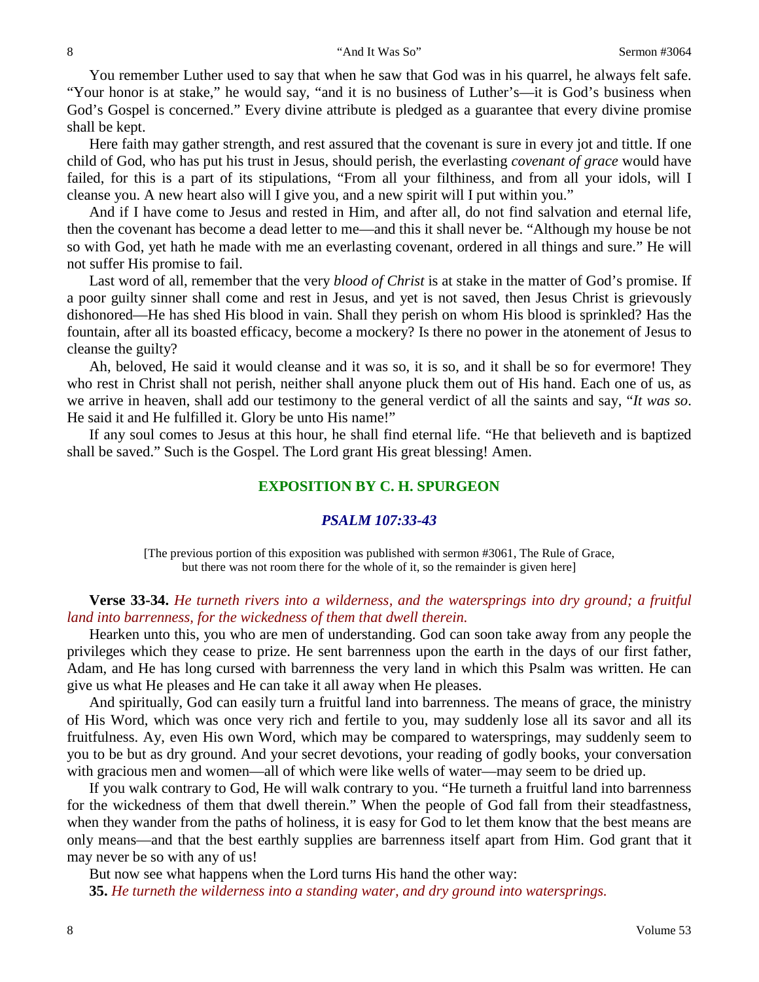You remember Luther used to say that when he saw that God was in his quarrel, he always felt safe. "Your honor is at stake," he would say, "and it is no business of Luther's—it is God's business when God's Gospel is concerned." Every divine attribute is pledged as a guarantee that every divine promise shall be kept.

Here faith may gather strength, and rest assured that the covenant is sure in every jot and tittle. If one child of God, who has put his trust in Jesus, should perish, the everlasting *covenant of grace* would have failed, for this is a part of its stipulations, "From all your filthiness, and from all your idols, will I cleanse you. A new heart also will I give you, and a new spirit will I put within you."

And if I have come to Jesus and rested in Him, and after all, do not find salvation and eternal life, then the covenant has become a dead letter to me—and this it shall never be. "Although my house be not so with God, yet hath he made with me an everlasting covenant, ordered in all things and sure." He will not suffer His promise to fail.

Last word of all, remember that the very *blood of Christ* is at stake in the matter of God's promise. If a poor guilty sinner shall come and rest in Jesus, and yet is not saved, then Jesus Christ is grievously dishonored—He has shed His blood in vain. Shall they perish on whom His blood is sprinkled? Has the fountain, after all its boasted efficacy, become a mockery? Is there no power in the atonement of Jesus to cleanse the guilty?

Ah, beloved, He said it would cleanse and it was so, it is so, and it shall be so for evermore! They who rest in Christ shall not perish, neither shall anyone pluck them out of His hand. Each one of us, as we arrive in heaven, shall add our testimony to the general verdict of all the saints and say, "*It was so*. He said it and He fulfilled it. Glory be unto His name!"

If any soul comes to Jesus at this hour, he shall find eternal life. "He that believeth and is baptized shall be saved." Such is the Gospel. The Lord grant His great blessing! Amen.

## **EXPOSITION BY C. H. SPURGEON**

#### *PSALM 107:33-43*

[The previous portion of this exposition was published with sermon #3061, The Rule of Grace, but there was not room there for the whole of it, so the remainder is given here]

## **Verse 33-34.** *He turneth rivers into a wilderness, and the watersprings into dry ground; a fruitful land into barrenness, for the wickedness of them that dwell therein.*

Hearken unto this, you who are men of understanding. God can soon take away from any people the privileges which they cease to prize. He sent barrenness upon the earth in the days of our first father, Adam, and He has long cursed with barrenness the very land in which this Psalm was written. He can give us what He pleases and He can take it all away when He pleases.

And spiritually, God can easily turn a fruitful land into barrenness. The means of grace, the ministry of His Word, which was once very rich and fertile to you, may suddenly lose all its savor and all its fruitfulness. Ay, even His own Word, which may be compared to watersprings, may suddenly seem to you to be but as dry ground. And your secret devotions, your reading of godly books, your conversation with gracious men and women—all of which were like wells of water—may seem to be dried up.

If you walk contrary to God, He will walk contrary to you. "He turneth a fruitful land into barrenness for the wickedness of them that dwell therein." When the people of God fall from their steadfastness, when they wander from the paths of holiness, it is easy for God to let them know that the best means are only means—and that the best earthly supplies are barrenness itself apart from Him. God grant that it may never be so with any of us!

But now see what happens when the Lord turns His hand the other way:

**35.** *He turneth the wilderness into a standing water, and dry ground into watersprings.*